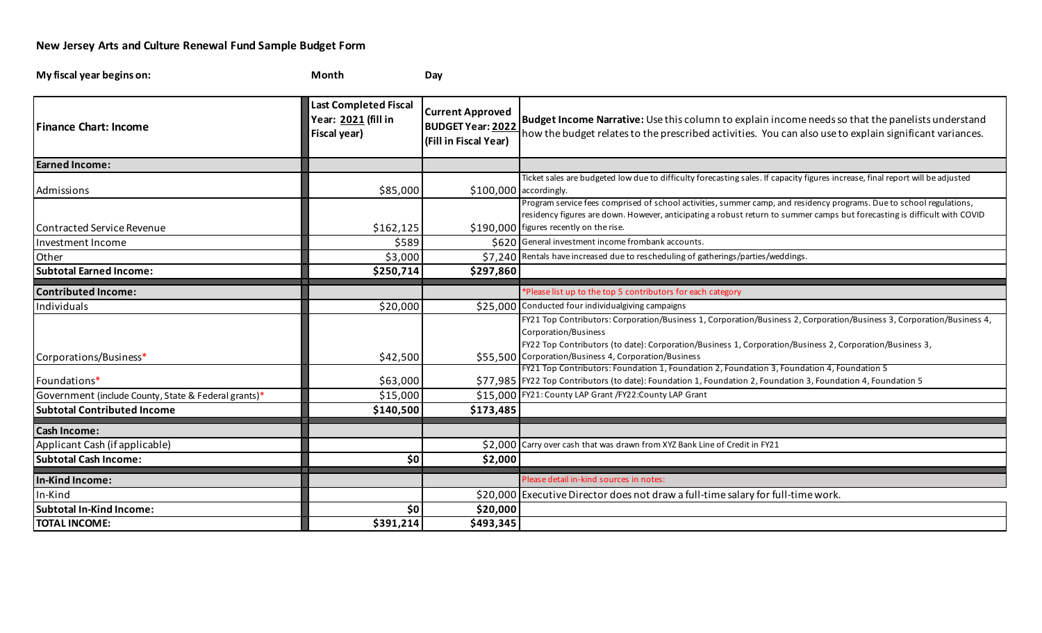## **New Jersey Arts and Culture Renewal Fund Sample Budget Form**

| My fiscal year begins on:                            | Month                                                               | Day                                                                          |                                                                                                                                                                                                                                                                                                                     |
|------------------------------------------------------|---------------------------------------------------------------------|------------------------------------------------------------------------------|---------------------------------------------------------------------------------------------------------------------------------------------------------------------------------------------------------------------------------------------------------------------------------------------------------------------|
| <b>Finance Chart: Income</b>                         | <b>Last Completed Fiscal</b><br>Year: 2021 (fill in<br>Fiscal year) | <b>Current Approved</b><br><b>BUDGET Year: 2022</b><br>(Fill in Fiscal Year) | Budget Income Narrative: Use this column to explain income needs so that the panelists understand<br>how the budget relates to the prescribed activities. You can also use to explain significant variances.                                                                                                        |
| <b>Earned Income:</b>                                |                                                                     |                                                                              |                                                                                                                                                                                                                                                                                                                     |
| Admissions                                           | \$85,000                                                            |                                                                              | Ticket sales are budgeted low due to difficulty forecasting sales. If capacity figures increase, final report will be adjusted<br>$$100,000$ accordingly.                                                                                                                                                           |
| <b>Contracted Service Revenue</b>                    | \$162,125                                                           |                                                                              | Program service fees comprised of school activities, summer camp, and residency programs. Due to school regulations,<br>residency figures are down. However, anticipating a robust return to summer camps but forecasting is difficult with COVID<br>\$190,000 figures recently on the rise.                        |
| Investment Income                                    | \$589                                                               |                                                                              | \$620 General investment income frombank accounts.                                                                                                                                                                                                                                                                  |
| Other                                                | \$3,000                                                             |                                                                              | \$7,240 Rentals have increased due to rescheduling of gatherings/parties/weddings.                                                                                                                                                                                                                                  |
| <b>Subtotal Earned Income:</b>                       | \$250,714                                                           | \$297,860                                                                    |                                                                                                                                                                                                                                                                                                                     |
| <b>Contributed Income:</b>                           |                                                                     |                                                                              | *Please list up to the top 5 contributors for each category                                                                                                                                                                                                                                                         |
| Individuals                                          | \$20,000                                                            |                                                                              | \$25,000 Conducted four individualgiving campaigns                                                                                                                                                                                                                                                                  |
| Corporations/Business*                               | \$42,500                                                            |                                                                              | FY21 Top Contributors: Corporation/Business 1, Corporation/Business 2, Corporation/Business 3, Corporation/Business 4,<br>Corporation/Business<br>FY22 Top Contributors (to date): Corporation/Business 1, Corporation/Business 2, Corporation/Business 3,<br>\$55,500 Corporation/Business 4, Corporation/Business |
|                                                      |                                                                     |                                                                              | FY21 Top Contributors: Foundation 1, Foundation 2, Foundation 3, Foundation 4, Foundation 5                                                                                                                                                                                                                         |
| Foundations*                                         | \$63,000                                                            |                                                                              | \$77,985   FY22 Top Contributors (to date): Foundation 1, Foundation 2, Foundation 3, Foundation 4, Foundation 5                                                                                                                                                                                                    |
| Government (include County, State & Federal grants)* | \$15,000                                                            |                                                                              | \$15,000 FY21: County LAP Grant / FY22: County LAP Grant                                                                                                                                                                                                                                                            |
| <b>Subtotal Contributed Income</b>                   | \$140,500                                                           | \$173,485                                                                    |                                                                                                                                                                                                                                                                                                                     |
| <b>Cash Income:</b>                                  |                                                                     |                                                                              |                                                                                                                                                                                                                                                                                                                     |
| Applicant Cash (if applicable)                       |                                                                     |                                                                              | \$2,000 Carry over cash that was drawn from XYZ Bank Line of Credit in FY21                                                                                                                                                                                                                                         |
| <b>Subtotal Cash Income:</b>                         | \$0                                                                 | \$2,000                                                                      |                                                                                                                                                                                                                                                                                                                     |
| In-Kind Income:                                      |                                                                     |                                                                              | Please detail in-kind sources in notes:                                                                                                                                                                                                                                                                             |
| In-Kind                                              |                                                                     |                                                                              | \$20,000 Executive Director does not draw a full-time salary for full-time work.                                                                                                                                                                                                                                    |
| <b>Subtotal In-Kind Income:</b>                      | \$0                                                                 | \$20,000                                                                     |                                                                                                                                                                                                                                                                                                                     |
| <b>TOTAL INCOME:</b>                                 | \$391,214                                                           | \$493,345                                                                    |                                                                                                                                                                                                                                                                                                                     |